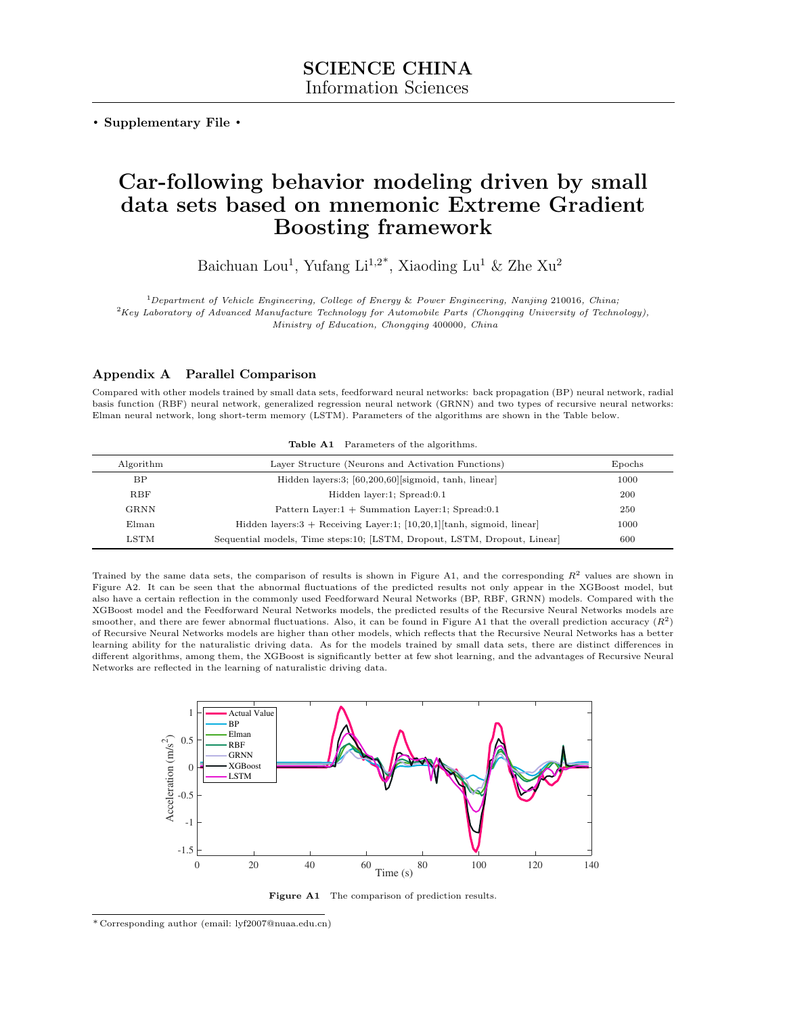. Supplementary File .

# Car-following behavior modeling driven by small data sets based on mnemonic Extreme Gradient Boosting framework

Baichuan Lou<sup>1</sup>, Yufang Li<sup>1,2\*</sup>, Xiaoding Lu<sup>1</sup> & Zhe Xu<sup>2</sup>

<sup>1</sup>Department of Vehicle Engineering, College of Energy & Power Engineering, Nanjing 210016, China;  $2Key$  Laboratory of Advanced Manufacture Technology for Automobile Parts (Chongqing University of Technology), Ministry of Education, Chongqing 400000, China

## Appendix A Parallel Comparison

Compared with other models trained by small data sets, feedforward neural networks: back propagation (BP) neural network, radial basis function (RBF) neural network, generalized regression neural network (GRNN) and two types of recursive neural networks: Elman neural network, long short-term memory (LSTM). Parameters of the algorithms are shown in the Table below.

| Algorithm     | Layer Structure (Neurons and Activation Functions)                        | Epochs |
|---------------|---------------------------------------------------------------------------|--------|
| <b>BP</b>     | Hidden layers:3; [60,200,60] [sigmoid, tanh, linear]                      | 1000   |
| <b>RBF</b>    | Hidden layer:1; Spread:0.1                                                | 200    |
| <b>GRNN</b>   | Pattern Layer: $1 +$ Summation Layer: $1$ ; Spread: $0.1$                 | 250    |
| $E$ lman      | Hidden layers: $3 +$ Receiving Layer:1; [10,20,1] [tanh, sigmoid, linear] | 1000   |
| $_{\rm LSTM}$ | Sequential models, Time steps:10; [LSTM, Dropout, LSTM, Dropout, Linear]  | 600    |

Table A1 Parameters of the algorithms.

Trained by the same data sets, the comparison of results is shown in Figure A1, and the corresponding  $R^2$  values are shown in Figure A2. It can be seen that the abnormal fluctuations of the predicted results not only appear in the XGBoost model, but also have a certain reflection in the commonly used Feedforward Neural Networks (BP, RBF, GRNN) models. Compared with the XGBoost model and the Feedforward Neural Networks models, the predicted results of the Recursive Neural Networks models are smoother, and there are fewer abnormal fluctuations. Also, it can be found in Figure A1 that the overall prediction accuracy  $(R^2)$ of Recursive Neural Networks models are higher than other models, which reflects that the Recursive Neural Networks has a better learning ability for the naturalistic driving data. As for the models trained by small data sets, there are distinct differences in different algorithms, among them, the XGBoost is significantly better at few shot learning, and the advantages of Recursive Neural Networks are reflected in the learning of naturalistic driving data.



Figure A1 The comparison of prediction results.

<sup>\*</sup> Corresponding author (email: lyf2007@nuaa.edu.cn)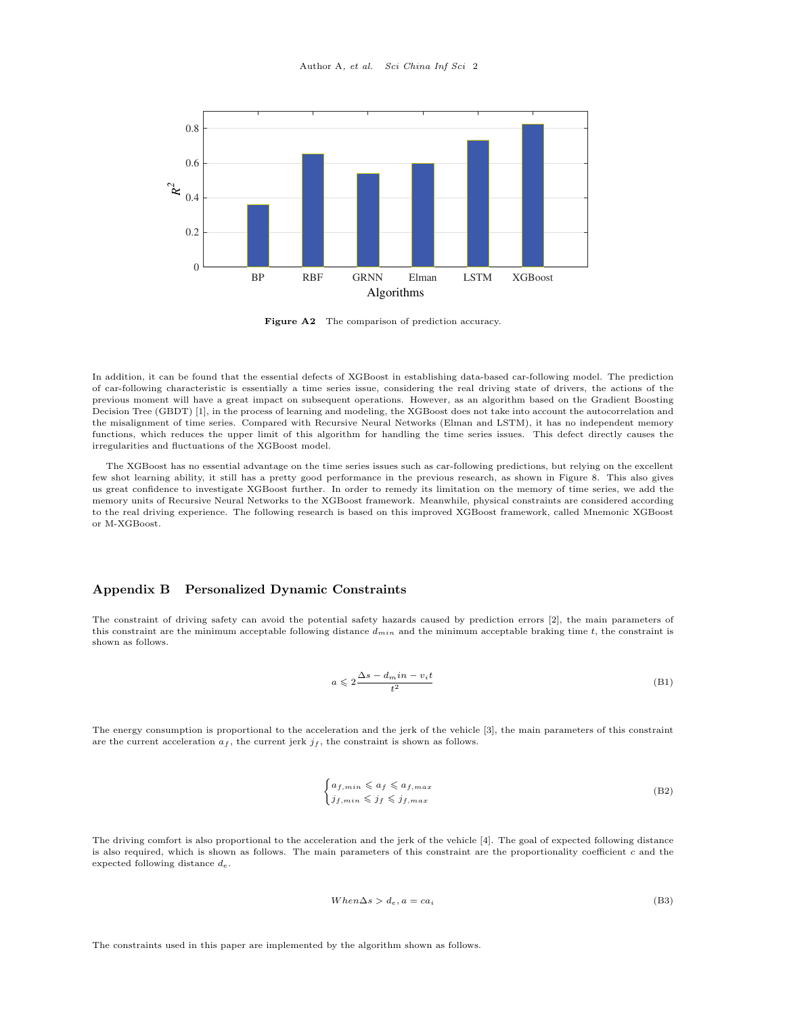

Figure A2 The comparison of prediction accuracy.

In addition, it can be found that the essential defects of XGBoost in establishing data-based car-following model. The prediction of car-following characteristic is essentially a time series issue, considering the real driving state of drivers, the actions of the previous moment will have a great impact on subsequent operations. However, as an algorithm based on the Gradient Boosting Decision Tree (GBDT) [\[1\]](#page-5-0), in the process of learning and modeling, the XGBoost does not take into account the autocorrelation and the misalignment of time series. Compared with Recursive Neural Networks (Elman and LSTM), it has no independent memory functions, which reduces the upper limit of this algorithm for handling the time series issues. This defect directly causes the irregularities and fluctuations of the XGBoost model.

The XGBoost has no essential advantage on the time series issues such as car-following predictions, but relying on the excellent few shot learning ability, it still has a pretty good performance in the previous research, as shown in Figure 8. This also gives us great confidence to investigate XGBoost further. In order to remedy its limitation on the memory of time series, we add the memory units of Recursive Neural Networks to the XGBoost framework. Meanwhile, physical constraints are considered according to the real driving experience. The following research is based on this improved XGBoost framework, called Mnemonic XGBoost or M-XGBoost.

### Appendix B Personalized Dynamic Constraints

The constraint of driving safety can avoid the potential safety hazards caused by prediction errors [\[2\]](#page-5-1), the main parameters of this constraint are the minimum acceptable following distance  $d_{min}$  and the minimum acceptable braking time t, the constraint is shown as follows.

$$
a \leqslant 2\frac{\Delta s - d_{m}in - v_{i}t}{t^{2}}
$$
\n(B1)

The energy consumption is proportional to the acceleration and the jerk of the vehicle [\[3\]](#page-6-0), the main parameters of this constraint are the current acceleration  $a_f$ , the current jerk  $j_f$ , the constraint is shown as follows.

$$
\begin{cases} a_{f,min} \leqslant a_f \leqslant a_{f,max} \\ j_{f,min} \leqslant j_f \leqslant j_{f,max} \end{cases} \tag{B2}
$$

The driving comfort is also proportional to the acceleration and the jerk of the vehicle [\[4\]](#page-6-1). The goal of expected following distance is also required, which is shown as follows. The main parameters of this constraint are the proportionality coefficient c and the expected following distance  $d_e$ .

$$
When \Delta s > d_e, a = ca_i \tag{B3}
$$

The constraints used in this paper are implemented by the algorithm shown as follows.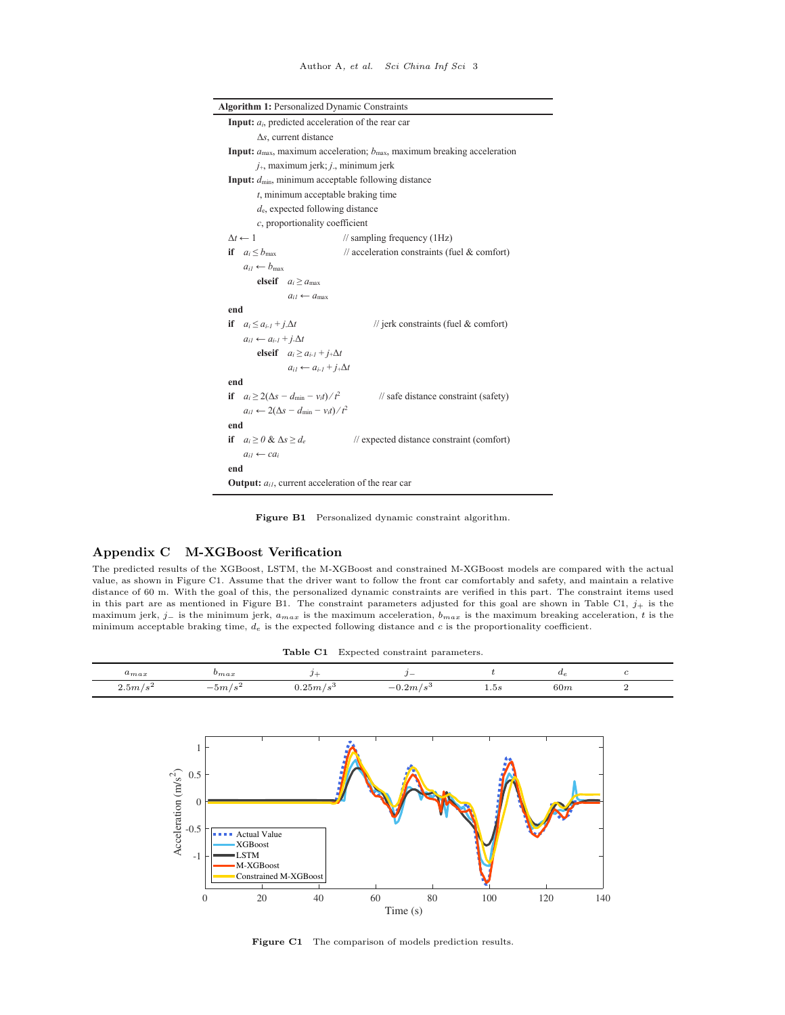| <b>Algorithm 1: Personalized Dynamic Constraints</b>                                                    |  |  |  |  |
|---------------------------------------------------------------------------------------------------------|--|--|--|--|
| <b>Input:</b> $a_i$ , predicted acceleration of the rear car                                            |  |  |  |  |
| $\Delta s$ , current distance                                                                           |  |  |  |  |
| <b>Input:</b> $a_{\text{max}}$ , maximum acceleration; $b_{\text{max}}$ , maximum breaking acceleration |  |  |  |  |
| $j_{+}$ , maximum jerk; $j_{-}$ , minimum jerk                                                          |  |  |  |  |
| Input: $d_{\min}$ , minimum acceptable following distance                                               |  |  |  |  |
| $t$ , minimum acceptable braking time                                                                   |  |  |  |  |
| $d_e$ , expected following distance                                                                     |  |  |  |  |
| $c$ , proportionality coefficient                                                                       |  |  |  |  |
| $\Delta t \leftarrow 1$<br>$\frac{1}{2}$ sampling frequency (1Hz)                                       |  |  |  |  |
| $\frac{1}{2}$ acceleration constraints (fuel & comfort)<br>if $a_i \leq b_{\text{max}}$                 |  |  |  |  |
| $a_{il} \leftarrow b_{max}$                                                                             |  |  |  |  |
| elseif $a_i > a_{max}$                                                                                  |  |  |  |  |
| $a_{i1} \leftarrow a_{max}$                                                                             |  |  |  |  |
| end                                                                                                     |  |  |  |  |
| if $a_i \leq a_{i-1} + i \Delta t$<br>// jerk constraints (fuel $&$ comfort)                            |  |  |  |  |
| $a_{i1} \leftarrow a_{i-1} + i \Delta t$                                                                |  |  |  |  |
| elseif $a_i \ge a_{i-1} + j_+ \Delta t$                                                                 |  |  |  |  |
| $a_{i1} \leftarrow a_{i-1} + j_+\Delta t$                                                               |  |  |  |  |
| end                                                                                                     |  |  |  |  |
| if $a_i \geq 2(\Delta s - d_{\min} - v_i t)/t^2$<br>$\frac{1}{3}$ safe distance constraint (safety)     |  |  |  |  |
| $a_{il} \leftarrow 2(\Delta s - d_{\min} - v_{il})/t^2$                                                 |  |  |  |  |
| end                                                                                                     |  |  |  |  |
| if $a_i > 0$ & $\Delta s > d_e$<br>// expected distance constraint (comfort)                            |  |  |  |  |
| $a_{i1} \leftarrow ca_i$                                                                                |  |  |  |  |
| end                                                                                                     |  |  |  |  |
| <b>Output:</b> $a_{il}$ , current acceleration of the rear car                                          |  |  |  |  |

Figure B1 Personalized dynamic constraint algorithm.

## Appendix C M-XGBoost Verification

The predicted results of the XGBoost, LSTM, the M-XGBoost and constrained M-XGBoost models are compared with the actual value, as shown in Figure C1. Assume that the driver want to follow the front car comfortably and safety, and maintain a relative distance of 60 m. With the goal of this, the personalized dynamic constraints are verified in this part. The constraint items used in this part are as mentioned in Figure B1. The constraint parameters adjusted for this goal are shown in Table C1,  $j_+$  is the maximum jerk, j– is the minimum jerk,  $a_{max}$  is the maximum acceleration,  $b_{max}$  is the maximum breaking acceleration, t is the minimum acceptable braking time,  $d_e$  is the expected following distance and c is the proportionality coefficient.

| <b>Table C1</b> Expected constraint parameters. |           |                   |              |      |              |  |  |
|-------------------------------------------------|-----------|-------------------|--------------|------|--------------|--|--|
| $u_{max}$                                       | $v_{max}$ |                   |              |      | $u_{\sigma}$ |  |  |
| 2.5m/s <sup>2</sup>                             | $-5m/s^2$ | $0.25m/s^{\circ}$ | $-0.2 m/s^3$ | 1.5s | 60m          |  |  |



Figure C1 The comparison of models prediction results.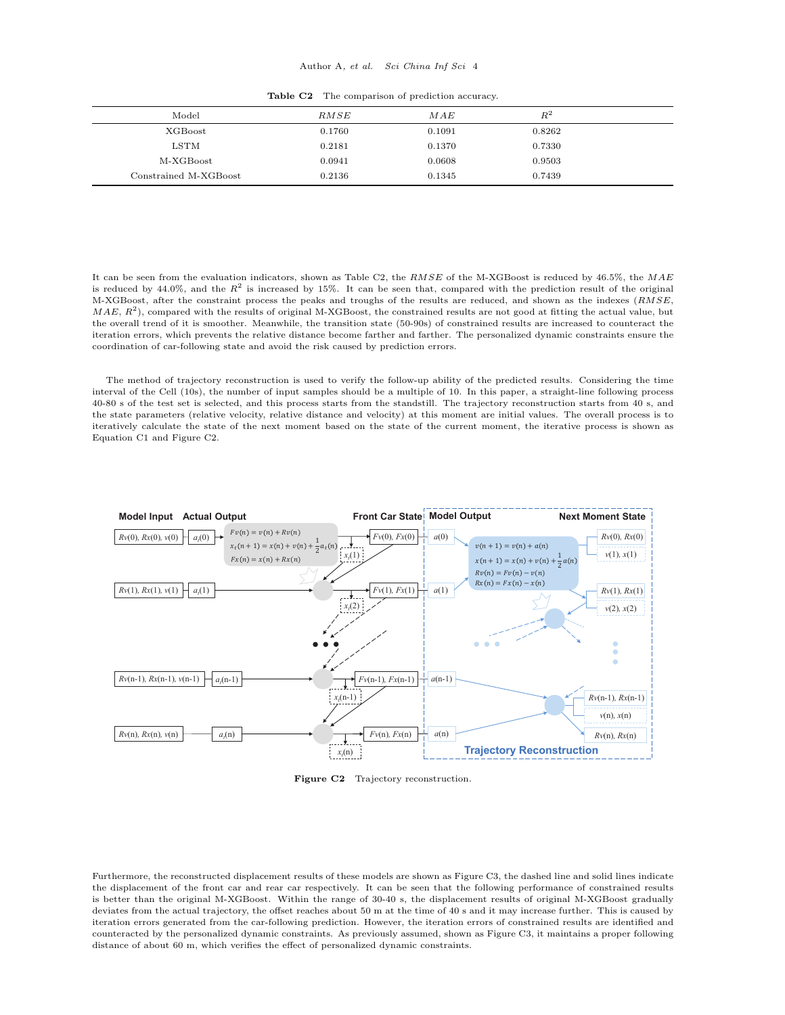#### Author A, et al. Sci China Inf Sci 4

|  | <b>Table C2</b> The comparison of prediction accuracy. |  |  |
|--|--------------------------------------------------------|--|--|
|--|--------------------------------------------------------|--|--|

| Model                 | RMSE   | MAE    | $\,R^2$ |  |
|-----------------------|--------|--------|---------|--|
| XGBoost               | 0.1760 | 0.1091 | 0.8262  |  |
| $_{\rm LSTM}$         | 0.2181 | 0.1370 | 0.7330  |  |
| M-XGBoost             | 0.0941 | 0.0608 | 0.9503  |  |
| Constrained M-XGBoost | 0.2136 | 0.1345 | 0.7439  |  |

It can be seen from the evaluation indicators, shown as Table C2, the RMSE of the M-XGBoost is reduced by 46.5%, the MAE is reduced by 44.0%, and the  $R^2$  is increased by 15%. It can be seen that, compared with the prediction result of the original M-XGBoost, after the constraint process the peaks and troughs of the results are reduced, and shown as the indexes (RMSE,  $MAE, R<sup>2</sup>$ ), compared with the results of original M-XGBoost, the constrained results are not good at fitting the actual value, but the overall trend of it is smoother. Meanwhile, the transition state (50-90s) of constrained results are increased to counteract the iteration errors, which prevents the relative distance become farther and farther. The personalized dynamic constraints ensure the coordination of car-following state and avoid the risk caused by prediction errors.

The method of trajectory reconstruction is used to verify the follow-up ability of the predicted results. Considering the time interval of the Cell (10s), the number of input samples should be a multiple of 10. In this paper, a straight-line following process 40-80 s of the test set is selected, and this process starts from the standstill. The trajectory reconstruction starts from 40 s, and the state parameters (relative velocity, relative distance and velocity) at this moment are initial values. The overall process is to iteratively calculate the state of the next moment based on the state of the current moment, the iterative process is shown as Equation C1 and Figure C2.



Figure C2 Trajectory reconstruction.

Furthermore, the reconstructed displacement results of these models are shown as Figure C3, the dashed line and solid lines indicate the displacement of the front car and rear car respectively. It can be seen that the following performance of constrained results is better than the original M-XGBoost. Within the range of 30-40 s, the displacement results of original M-XGBoost gradually deviates from the actual trajectory, the offset reaches about 50 m at the time of 40 s and it may increase further. This is caused by iteration errors generated from the car-following prediction. However, the iteration errors of constrained results are identified and counteracted by the personalized dynamic constraints. As previously assumed, shown as Figure C3, it maintains a proper following distance of about 60 m, which verifies the effect of personalized dynamic constraints.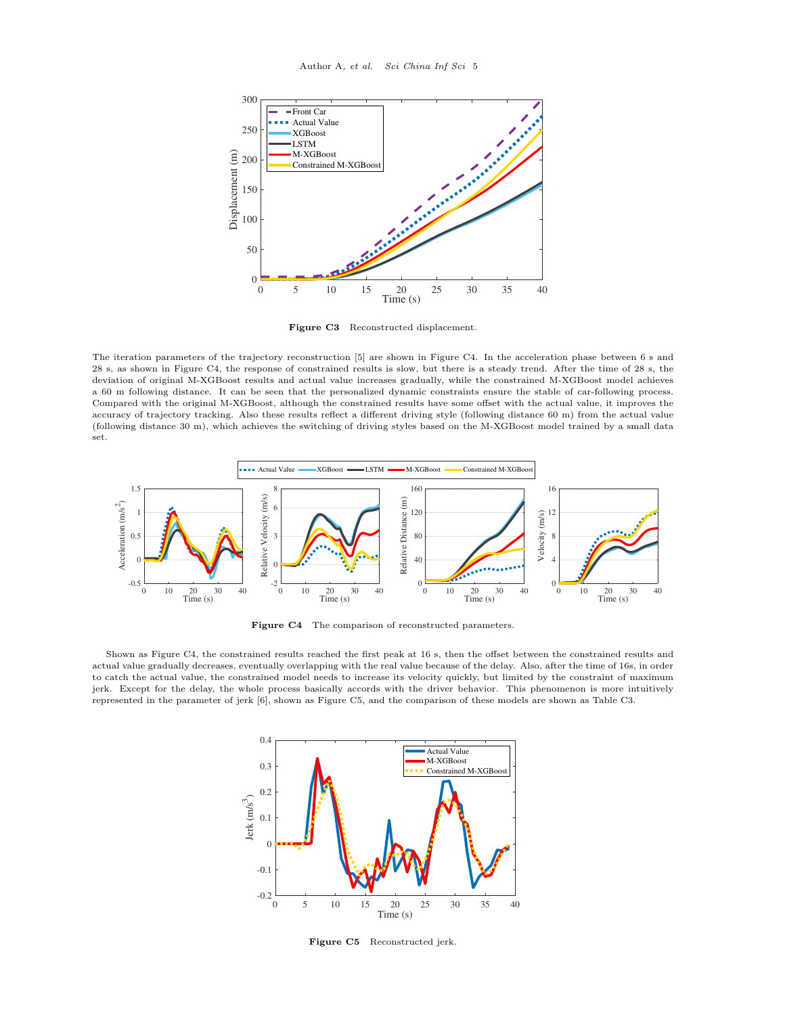

Figure C3 Reconstructed displacement.

The iteration parameters of the trajectory reconstruction [\[5\]](#page-6-2) are shown in Figure C4. In the acceleration phase between 6 s and 28 s, as shown in Figure C4, the response of constrained results is slow, but there is a steady trend. After the time of 28 s, the deviation of original M-XGBoost results and actual value increases gradually, while the constrained M-XGBoost model achieves a 60 m following distance. It can be seen that the personalized dynamic constraints ensure the stable of car-following process. Compared with the original M-XGBoost, although the constrained results have some offset with the actual value, it improves the accuracy of trajectory tracking. Also these results reflect a different driving style (following distance 60 m) from the actual value (following distance 30 m), which achieves the switching of driving styles based on the M-XGBoost model trained by a small data set.



Figure C4 The comparison of reconstructed parameters.

Shown as Figure C4, the constrained results reached the first peak at 16 s, then the offset between the constrained results and actual value gradually decreases, eventually overlapping with the real value because of the delay. Also, after the time of 16s, in order to catch the actual value, the constrained model needs to increase its velocity quickly, but limited by the constraint of maximum jerk. Except for the delay, the whole process basically accords with the driver behavior. This phenomenon is more intuitively represented in the parameter of jerk [\[6\]](#page-6-3), shown as Figure C5, and the comparison of these models are shown as Table C3.



Figure C5 Reconstructed jerk.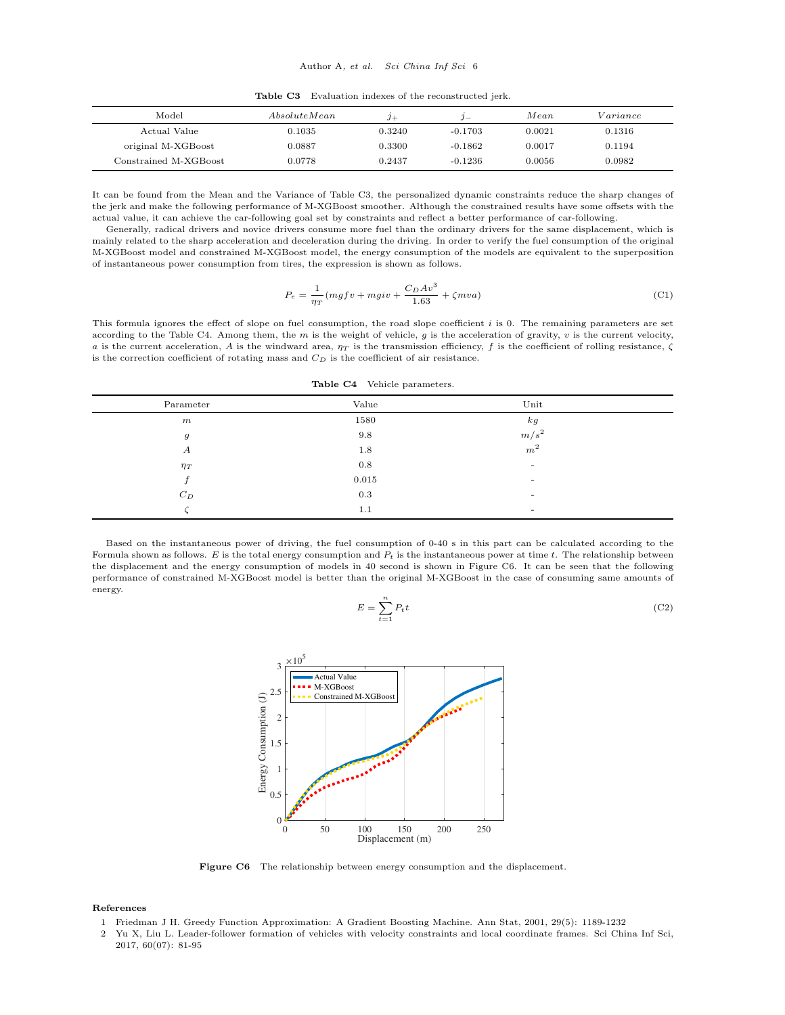Table C3 Evaluation indexes of the reconstructed jerk.

| Model                 | Absolute Mean | $3+$   | $\mathbf{v}$ | Mean   | Variance |
|-----------------------|---------------|--------|--------------|--------|----------|
| Actual Value          | 0.1035        | 0.3240 | $-0.1703$    | 0.0021 | 0.1316   |
| original M-XGBoost    | 0.0887        | 0.3300 | $-0.1862$    | 0.0017 | 0.1194   |
| Constrained M-XGBoost | 0.0778        | 0.2437 | $-0.1236$    | 0.0056 | 0.0982   |

It can be found from the Mean and the Variance of Table C3, the personalized dynamic constraints reduce the sharp changes of the jerk and make the following performance of M-XGBoost smoother. Although the constrained results have some offsets with the actual value, it can achieve the car-following goal set by constraints and reflect a better performance of car-following.

Generally, radical drivers and novice drivers consume more fuel than the ordinary drivers for the same displacement, which is mainly related to the sharp acceleration and deceleration during the driving. In order to verify the fuel consumption of the original M-XGBoost model and constrained M-XGBoost model, the energy consumption of the models are equivalent to the superposition of instantaneous power consumption from tires, the expression is shown as follows.

$$
P_e = \frac{1}{\eta T} (mgfv + mgiv + \frac{C_D Av^3}{1.63} + \zeta mva)
$$
 (C1)

This formula ignores the effect of slope on fuel consumption, the road slope coefficient  $i$  is 0. The remaining parameters are set according to the Table C4. Among them, the m is the weight of vehicle, q is the acceleration of gravity,  $v$  is the current velocity, a is the current acceleration, A is the windward area,  $\eta_T$  is the transmission efficiency, f is the coefficient of rolling resistance,  $\zeta$ is the correction coefficient of rotating mass and  $C_D$  is the coefficient of air resistance.

| Table C4 |  |  | Vehicle parameters. |
|----------|--|--|---------------------|
|----------|--|--|---------------------|

| Parameter        | Value | Unit                     |  |
|------------------|-------|--------------------------|--|
| m                | 1580  | k g                      |  |
| $\boldsymbol{g}$ | 9.8   | $m/s^2$                  |  |
| А                | 1.8   | m <sup>2</sup>           |  |
| $\eta_T$         | 0.8   |                          |  |
|                  | 0.015 | ٠                        |  |
| $C_D$            | 0.3   | ۰                        |  |
|                  | 1.1   | $\overline{\phantom{a}}$ |  |

Based on the instantaneous power of driving, the fuel consumption of 0-40 s in this part can be calculated according to the Formula shown as follows. E is the total energy consumption and  $P_t$  is the instantaneous power at time t. The relationship between the displacement and the energy consumption of models in 40 second is shown in Figure C6. It can be seen that the following performance of constrained M-XGBoost model is better than the original M-XGBoost in the case of consuming same amounts of energy.

$$
E = \sum_{t=1}^{n} P_t t \tag{C2}
$$



Figure C6 The relationship between energy consumption and the displacement.

#### References

- <span id="page-5-0"></span>1 Friedman J H. Greedy Function Approximation: A Gradient Boosting Machine. Ann Stat, 2001, 29(5): 1189-1232
- <span id="page-5-1"></span>2 Yu X, Liu L. Leader-follower formation of vehicles with velocity constraints and local coordinate frames. Sci China Inf Sci, 2017, 60(07): 81-95